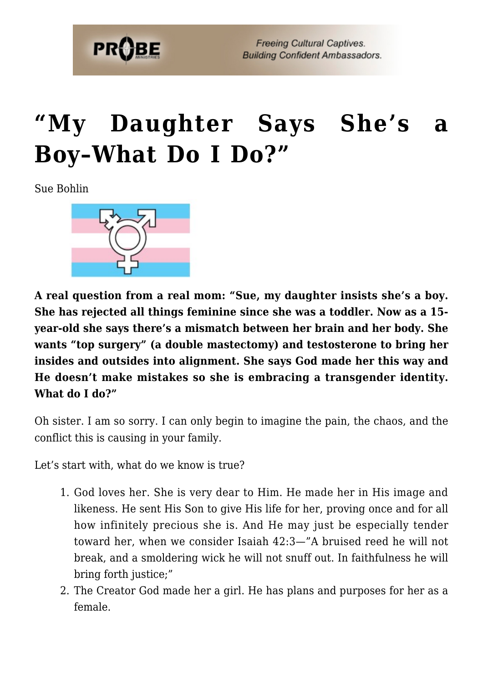

## **["My Daughter Says She's a](https://probe.org/my-daughter-says-shes-a-boy-what-do-i-do/) [Boy–What Do I Do?"](https://probe.org/my-daughter-says-shes-a-boy-what-do-i-do/)**

Sue Bohlin



**A real question from a real mom: "Sue, my daughter insists she's a boy. She has rejected all things feminine since she was a toddler. Now as a 15 year-old she says there's a mismatch between her brain and her body. She wants "top surgery" (a double mastectomy) and testosterone to bring her insides and outsides into alignment. She says God made her this way and He doesn't make mistakes so she is embracing a transgender identity. What do I do?"**

Oh sister. I am so sorry. I can only begin to imagine the pain, the chaos, and the conflict this is causing in your family.

Let's start with, what do we know is true?

- 1. God loves her. She is very dear to Him. He made her in His image and likeness. He sent His Son to give His life for her, proving once and for all how infinitely precious she is. And He may just be especially tender toward her, when we consider Isaiah 42:3—"A bruised reed he will not break, and a smoldering wick he will not snuff out. In faithfulness he will bring forth justice;"
- 2. The Creator God made her a girl. He has plans and purposes for her as a female.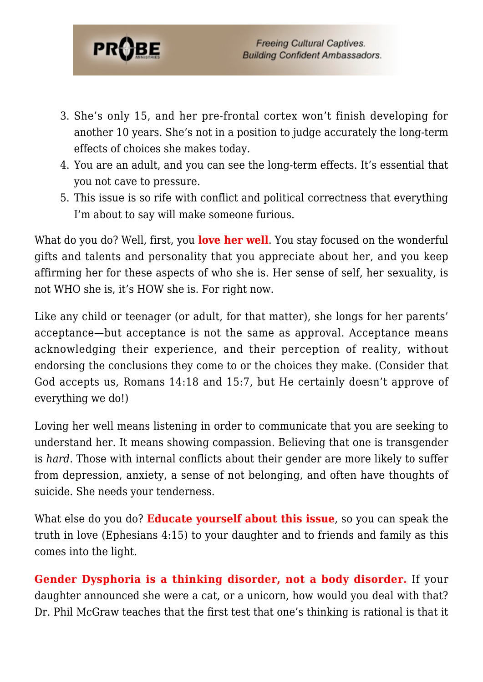

- 3. She's only 15, and her pre-frontal cortex won't finish developing for another 10 years. She's not in a position to judge accurately the long-term effects of choices she makes today.
- 4. You are an adult, and you can see the long-term effects. It's essential that you not cave to pressure.
- 5. This issue is so rife with conflict and political correctness that everything I'm about to say will make someone furious.

What do you do? Well, first, you **love her well**. You stay focused on the wonderful gifts and talents and personality that you appreciate about her, and you keep affirming her for these aspects of who she is. Her sense of self, her sexuality, is not WHO she is, it's HOW she is. For right now.

Like any child or teenager (or adult, for that matter), she longs for her parents' acceptance—but acceptance is not the same as approval. Acceptance means acknowledging their experience, and their perception of reality, without endorsing the conclusions they come to or the choices they make. (Consider that God accepts us, Romans 14:18 and 15:7, but He certainly doesn't approve of everything we do!)

Loving her well means listening in order to communicate that you are seeking to understand her. It means showing compassion. Believing that one is transgender is *hard*. Those with internal conflicts about their gender are more likely to suffer from depression, anxiety, a sense of not belonging, and often have thoughts of suicide. She needs your tenderness.

What else do you do? **Educate yourself about this issue**, so you can speak the truth in love (Ephesians 4:15) to your daughter and to friends and family as this comes into the light.

**Gender Dysphoria is a thinking disorder, not a body disorder.** If your daughter announced she were a cat, or a unicorn, how would you deal with that? Dr. Phil McGraw teaches that the first test that one's thinking is rational is that it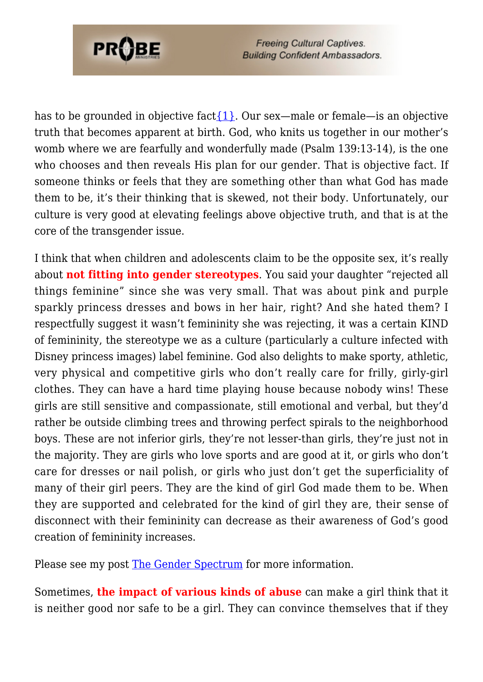

**Freeing Cultural Captives. Building Confident Ambassadors.** 

has to be grounded in objective fact $\{1\}$ . Our sex—male or female—is an objective truth that becomes apparent at birth. God, who knits us together in our mother's womb where we are fearfully and wonderfully made (Psalm 139:13-14), is the one who chooses and then reveals His plan for our gender. That is objective fact. If someone thinks or feels that they are something other than what God has made them to be, it's their thinking that is skewed, not their body. Unfortunately, our culture is very good at elevating feelings above objective truth, and that is at the core of the transgender issue.

I think that when children and adolescents claim to be the opposite sex, it's really about **not fitting into gender stereotypes**. You said your daughter "rejected all things feminine" since she was very small. That was about pink and purple sparkly princess dresses and bows in her hair, right? And she hated them? I respectfully suggest it wasn't femininity she was rejecting, it was a certain KIND of femininity, the stereotype we as a culture (particularly a culture infected with Disney princess images) label feminine. God also delights to make sporty, athletic, very physical and competitive girls who don't really care for frilly, girly-girl clothes. They can have a hard time playing house because nobody wins! These girls are still sensitive and compassionate, still emotional and verbal, but they'd rather be outside climbing trees and throwing perfect spirals to the neighborhood boys. These are not inferior girls, they're not lesser-than girls, they're just not in the majority. They are girls who love sports and are good at it, or girls who don't care for dresses or nail polish, or girls who just don't get the superficiality of many of their girl peers. They are the kind of girl God made them to be. When they are supported and celebrated for the kind of girl they are, their sense of disconnect with their femininity can decrease as their awareness of God's good creation of femininity increases.

Please see my post [The Gender Spectrum](https://probe.org/the-gender-spectrum/) for more information.

Sometimes, **the impact of various kinds of abuse** can make a girl think that it is neither good nor safe to be a girl. They can convince themselves that if they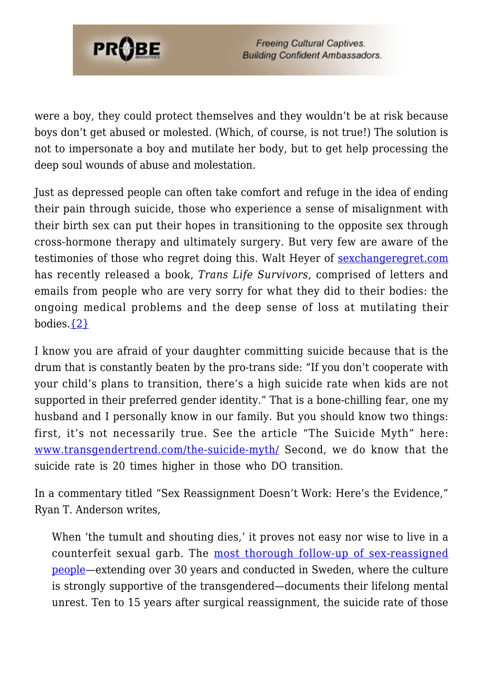

were a boy, they could protect themselves and they wouldn't be at risk because boys don't get abused or molested. (Which, of course, is not true!) The solution is not to impersonate a boy and mutilate her body, but to get help processing the deep soul wounds of abuse and molestation.

Just as depressed people can often take comfort and refuge in the idea of ending their pain through suicide, those who experience a sense of misalignment with their birth sex can put their hopes in transitioning to the opposite sex through cross-hormone therapy and ultimately surgery. But very few are aware of the testimonies of those who regret doing this. Walt Heyer of [sexchangeregret.com](https://probe.org/sexchangeregret.com) has recently released a book, *Trans Life Survivors*, comprised of letters and emails from people who are very sorry for what they did to their bodies: the ongoing medical problems and the deep sense of loss at mutilating their bodies. $\{2\}$ 

I know you are afraid of your daughter committing suicide because that is the drum that is constantly beaten by the pro-trans side: "If you don't cooperate with your child's plans to transition, there's a high suicide rate when kids are not supported in their preferred gender identity." That is a bone-chilling fear, one my husband and I personally know in our family. But you should know two things: first, it's not necessarily true. See the article "The Suicide Myth" here: [www.transgendertrend.com/the-suicide-myth/](https://www.transgendertrend.com/the-suicide-myth/) Second, we do know that the suicide rate is 20 times higher in those who DO transition.

In a commentary titled "Sex Reassignment Doesn't Work: Here's the Evidence," Ryan T. Anderson writes,

When 'the tumult and shouting dies,' it proves not easy nor wise to live in a counterfeit sexual garb. The [most thorough follow-up of sex-reassigned](https://journals.plos.org/plosone/article?id=10.1371/journal.pone.0016885) [people—](https://journals.plos.org/plosone/article?id=10.1371/journal.pone.0016885)extending over 30 years and conducted in Sweden, where the culture is strongly supportive of the transgendered—documents their lifelong mental unrest. Ten to 15 years after surgical reassignment, the suicide rate of those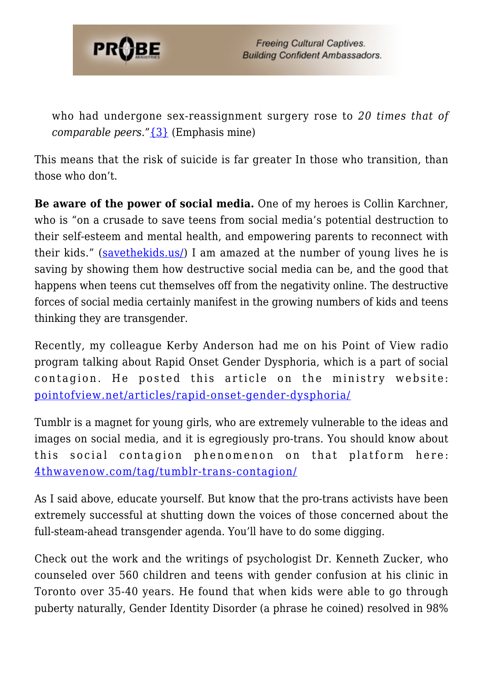

who had undergone sex-reassignment surgery rose to *20 times that of comparable peers*."[{3}](#page-6-2) (Emphasis mine)

This means that the risk of suicide is far greater In those who transition, than those who don't.

**Be aware of the power of social media.** One of my heroes is Collin Karchner, who is "on a crusade to save teens from social media's potential destruction to their self-esteem and mental health, and empowering parents to reconnect with their kids." [\(savethekids.us/\)](https://savethekids.us/) I am amazed at the number of young lives he is saving by showing them how destructive social media can be, and the good that happens when teens cut themselves off from the negativity online. The destructive forces of social media certainly manifest in the growing numbers of kids and teens thinking they are transgender.

Recently, my colleague Kerby Anderson had me on his Point of View radio program talking about Rapid Onset Gender Dysphoria, which is a part of social contagion. He posted this article on the ministry website: [pointofview.net/articles/rapid-onset-gender-dysphoria/](https://pointofview.net/articles/rapid-onset-gender-dysphoria/)

Tumblr is a magnet for young girls, who are extremely vulnerable to the ideas and images on social media, and it is egregiously pro-trans. You should know about this social contagion phenomenon on that platform here: [4thwavenow.com/tag/tumblr-trans-contagion/](https://4thwavenow.com/tag/tumblr-trans-contagion/)

As I said above, educate yourself. But know that the pro-trans activists have been extremely successful at shutting down the voices of those concerned about the full-steam-ahead transgender agenda. You'll have to do some digging.

Check out the work and the writings of psychologist Dr. Kenneth Zucker, who counseled over 560 children and teens with gender confusion at his clinic in Toronto over 35-40 years. He found that when kids were able to go through puberty naturally, Gender Identity Disorder (a phrase he coined) resolved in 98%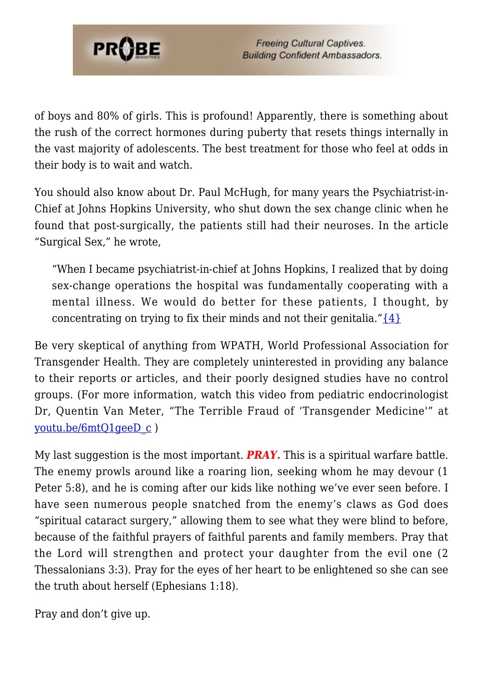

of boys and 80% of girls. This is profound! Apparently, there is something about the rush of the correct hormones during puberty that resets things internally in the vast majority of adolescents. The best treatment for those who feel at odds in their body is to wait and watch.

You should also know about Dr. Paul McHugh, for many years the Psychiatrist-in-Chief at Johns Hopkins University, who shut down the sex change clinic when he found that post-surgically, the patients still had their neuroses. In the article "Surgical Sex," he wrote,

"When I became psychiatrist-in-chief at Johns Hopkins, I realized that by doing sex-change operations the hospital was fundamentally cooperating with a mental illness. We would do better for these patients, I thought, by concentrating on trying to fix their minds and not their genitalia." $\{4\}$ 

Be very skeptical of anything from WPATH, World Professional Association for Transgender Health. They are completely uninterested in providing any balance to their reports or articles, and their poorly designed studies have no control groups. (For more information, watch this video from pediatric endocrinologist Dr, Quentin Van Meter, "The Terrible Fraud of 'Transgender Medicine'" at [youtu.be/6mtQ1geeD\\_c](https://youtu.be/6mtQ1geeD_c) )

My last suggestion is the most important. *PRAY.* This is a spiritual warfare battle. The enemy prowls around like a roaring lion, seeking whom he may devour (1 Peter 5:8), and he is coming after our kids like nothing we've ever seen before. I have seen numerous people snatched from the enemy's claws as God does "spiritual cataract surgery," allowing them to see what they were blind to before, because of the faithful prayers of faithful parents and family members. Pray that the Lord will strengthen and protect your daughter from the evil one (2 Thessalonians 3:3). Pray for the eyes of her heart to be enlightened so she can see the truth about herself (Ephesians 1:18).

Pray and don't give up.